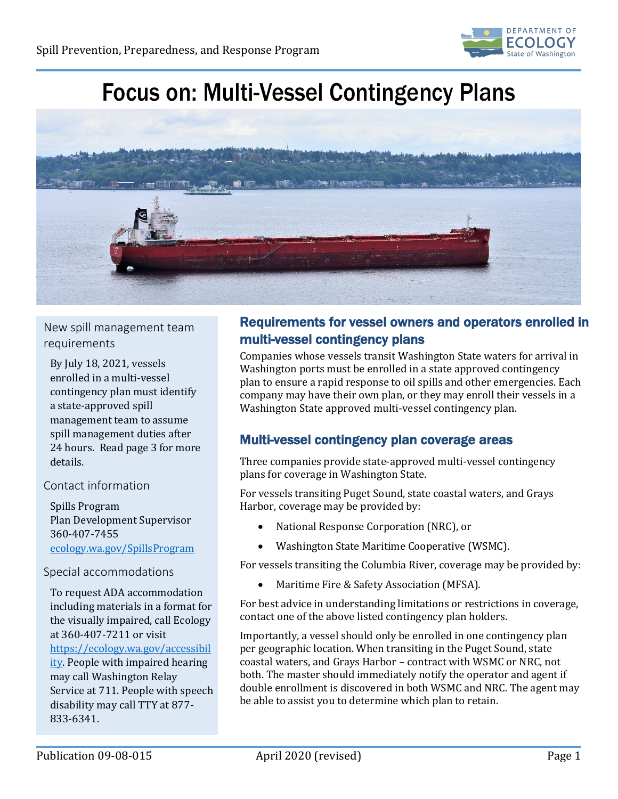



New spill management team requirements

By July 18, 2021, vessels enrolled in a multi-vessel contingency plan must identify a state-approved spill management team to assume spill management duties after 24 hours. Read page 3 for more details.

## Contact information

Spills Program Plan Development Supervisor 360-407-7455 [ecology.wa.gov/SpillsProgram](https://ecology.wa.gov/About-us/Get-to-know-us/Our-Programs/Spills-Prevention-Preparedness-Response)

#### Special accommodations

To request ADA accommodation including materials in a format for the visually impaired, call Ecology at 360-407-7211 or visit [https://ecology.wa.gov/accessibil](https://ecology.wa.gov/accessibility) [ity.](https://ecology.wa.gov/accessibility) People with impaired hearing may call Washington Relay Service at 711. People with speech disability may call TTY at 877- 833-6341.

# Requirements for vessel owners and operators enrolled in multi-vessel contingency plans

Companies whose vessels transit Washington State waters for arrival in Washington ports must be enrolled in a state approved contingency plan to ensure a rapid response to oil spills and other emergencies. Each company may have their own plan, or they may enroll their vessels in a Washington State approved multi-vessel contingency plan.

# Multi-vessel contingency plan coverage areas

Three companies provide state-approved multi-vessel contingency plans for coverage in Washington State.

For vessels transiting Puget Sound, state coastal waters, and Grays Harbor, coverage may be provided by:

- National Response Corporation (NRC), or
- Washington State Maritime Cooperative (WSMC).

For vessels transiting the Columbia River, coverage may be provided by:

• Maritime Fire & Safety Association (MFSA).

For best advice in understanding limitations or restrictions in coverage, contact one of the above listed contingency plan holders.

Importantly, a vessel should only be enrolled in one contingency plan per geographic location. When transiting in the Puget Sound, state coastal waters, and Grays Harbor – contract with WSMC or NRC, not both. The master should immediately notify the operator and agent if double enrollment is discovered in both WSMC and NRC. The agent may be able to assist you to determine which plan to retain.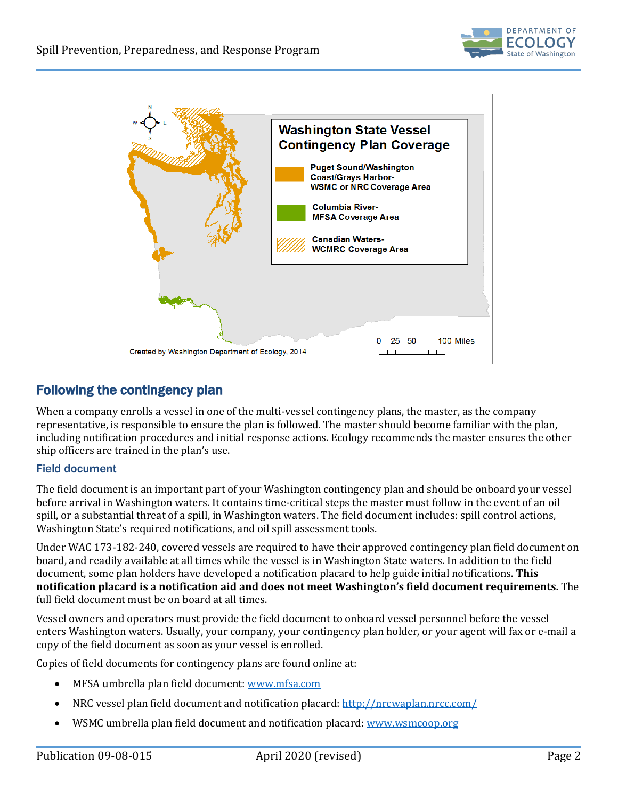



# Following the contingency plan

When a company enrolls a vessel in one of the multi-vessel contingency plans, the master, as the company representative, is responsible to ensure the plan is followed. The master should become familiar with the plan, including notification procedures and initial response actions. Ecology recommends the master ensures the other ship officers are trained in the plan's use.

## Field document

The field document is an important part of your Washington contingency plan and should be onboard your vessel before arrival in Washington waters. It contains time-critical steps the master must follow in the event of an oil spill, or a substantial threat of a spill, in Washington waters. The field document includes: spill control actions, Washington State's required notifications, and oil spill assessment tools.

Under WAC 173-182-240, covered vessels are required to have their approved contingency plan field document on board, and readily available at all times while the vessel is in Washington State waters. In addition to the field document, some plan holders have developed a notification placard to help guide initial notifications. **This notification placard is a notification aid and does not meet Washington's field document requirements.** The full field document must be on board at all times.

Vessel owners and operators must provide the field document to onboard vessel personnel before the vessel enters Washington waters. Usually, your company, your contingency plan holder, or your agent will fax or e-mail a copy of the field document as soon as your vessel is enrolled.

Copies of field documents for contingency plans are found online at:

- MFSA umbrella plan field document[: www.mfsa.com](http://www.mfsa.com/)
- NRC vessel plan field document and notification placard: <http://nrcwaplan.nrcc.com/>
- WSMC umbrella plan field document and notification placard[: www.wsmcoop.org](http://www.wsmcoop.org/)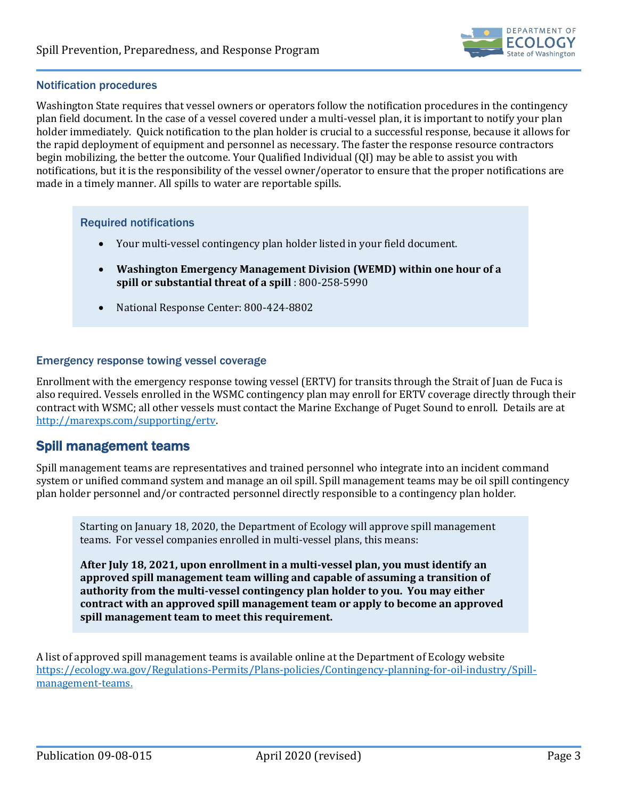

#### Notification procedures

Washington State requires that vessel owners or operators follow the notification procedures in the contingency plan field document. In the case of a vessel covered under a multi-vessel plan, it is important to notify your plan holder immediately. Quick notification to the plan holder is crucial to a successful response, because it allows for the rapid deployment of equipment and personnel as necessary. The faster the response resource contractors begin mobilizing, the better the outcome. Your Qualified Individual (QI) may be able to assist you with notifications, but it is the responsibility of the vessel owner/operator to ensure that the proper notifications are made in a timely manner. All spills to water are reportable spills.

#### Required notifications

- Your multi-vessel contingency plan holder listed in your field document.
- **Washington Emergency Management Division (WEMD) within one hour of a spill or substantial threat of a spill** : 800-258-5990
- National Response Center: 800-424-8802

#### Emergency response towing vessel coverage

Enrollment with the emergency response towing vessel (ERTV) for transits through the Strait of Juan de Fuca is also required. Vessels enrolled in the WSMC contingency plan may enroll for ERTV coverage directly through their contract with WSMC; all other vessels must contact the Marine Exchange of Puget Sound to enroll. Details are at [http://marexps.com/supporting/ertv.](http://marexps.com/supporting/ertv)

## Spill management teams

Spill management teams are representatives and trained personnel who integrate into an incident command system or unified command system and manage an oil spill. Spill management teams may be oil spill contingency plan holder personnel and/or contracted personnel directly responsible to a contingency plan holder.

Starting on January 18, 2020, the Department of Ecology will approve spill management teams. For vessel companies enrolled in multi-vessel plans, this means:

**After July 18, 2021, upon enrollment in a multi-vessel plan, you must identify an approved spill management team willing and capable of assuming a transition of authority from the multi-vessel contingency plan holder to you. You may either contract with an approved spill management team or apply to become an approved spill management team to meet this requirement.** 

A list of approved spill management teams is available online at the Department of Ecology website [https://ecology.wa.gov/Regulations-Permits/Plans-policies/Contingency-planning-for-oil-industry/Spill](https://ecology.wa.gov/Regulations-Permits/Plans-policies/Contingency-planning-for-oil-industry/Spill-management-teams)[management-teams.](https://ecology.wa.gov/Regulations-Permits/Plans-policies/Contingency-planning-for-oil-industry/Spill-management-teams)